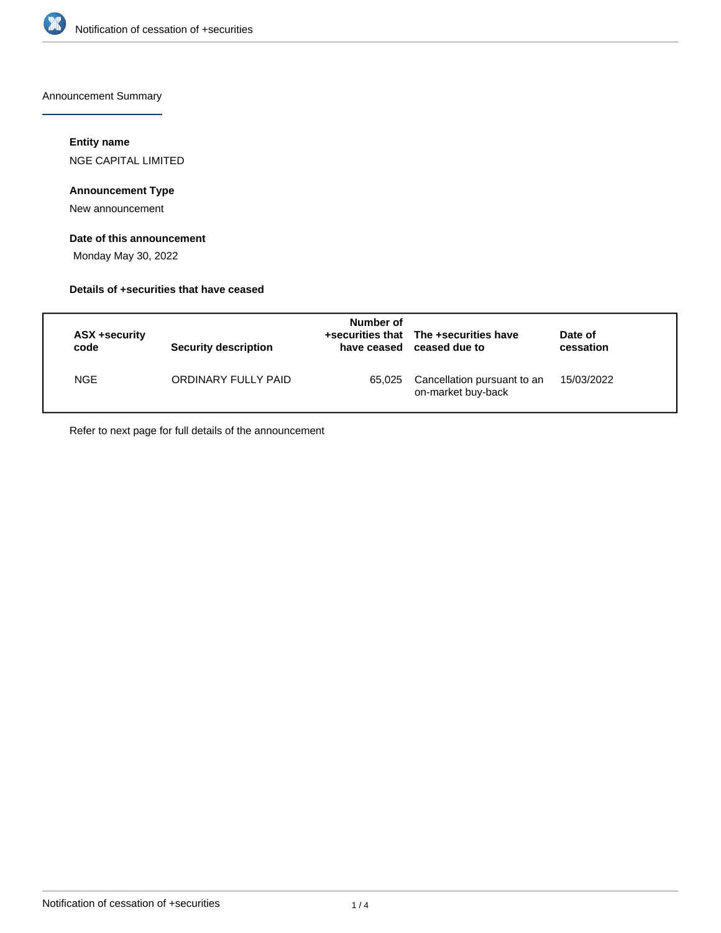

Announcement Summary

## **Entity name**

NGE CAPITAL LIMITED

# **Announcement Type**

New announcement

# **Date of this announcement**

Monday May 30, 2022

## **Details of +securities that have ceased**

| ASX +security<br>code | Security description | Number of<br>have ceased | +securities that The +securities have<br>ceased due to | Date of<br>cessation |
|-----------------------|----------------------|--------------------------|--------------------------------------------------------|----------------------|
| <b>NGE</b>            | ORDINARY FULLY PAID  | 65.025                   | Cancellation pursuant to an<br>on-market buy-back      | 15/03/2022           |

Refer to next page for full details of the announcement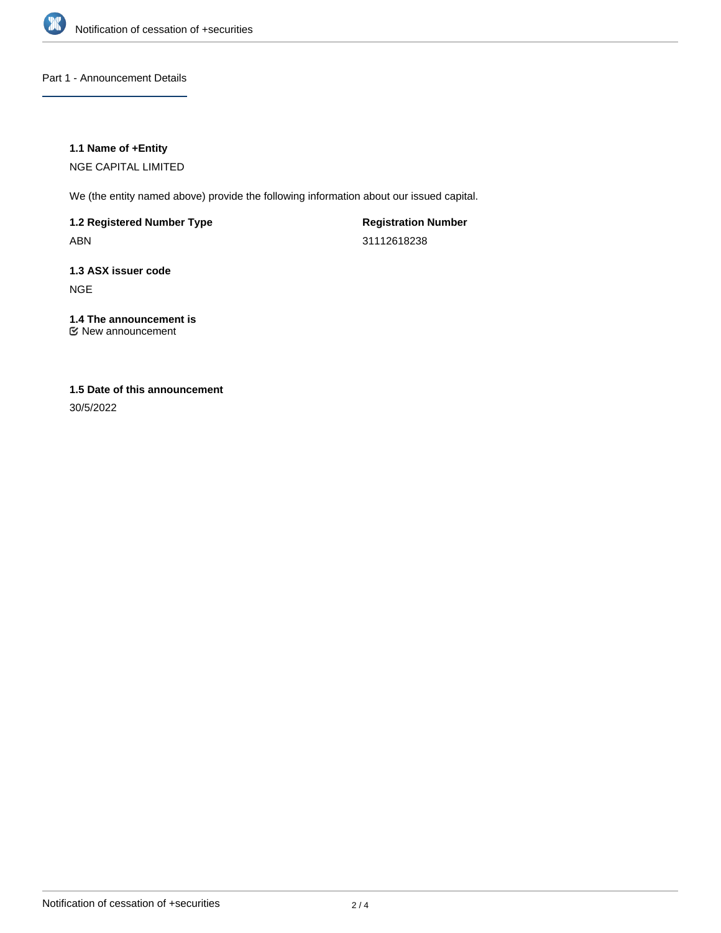

Part 1 - Announcement Details

## **1.1 Name of +Entity**

NGE CAPITAL LIMITED

We (the entity named above) provide the following information about our issued capital.

**1.2 Registered Number Type** ABN

**Registration Number** 31112618238

**1.3 ASX issuer code** NGE

#### **1.4 The announcement is** New announcement

# **1.5 Date of this announcement**

30/5/2022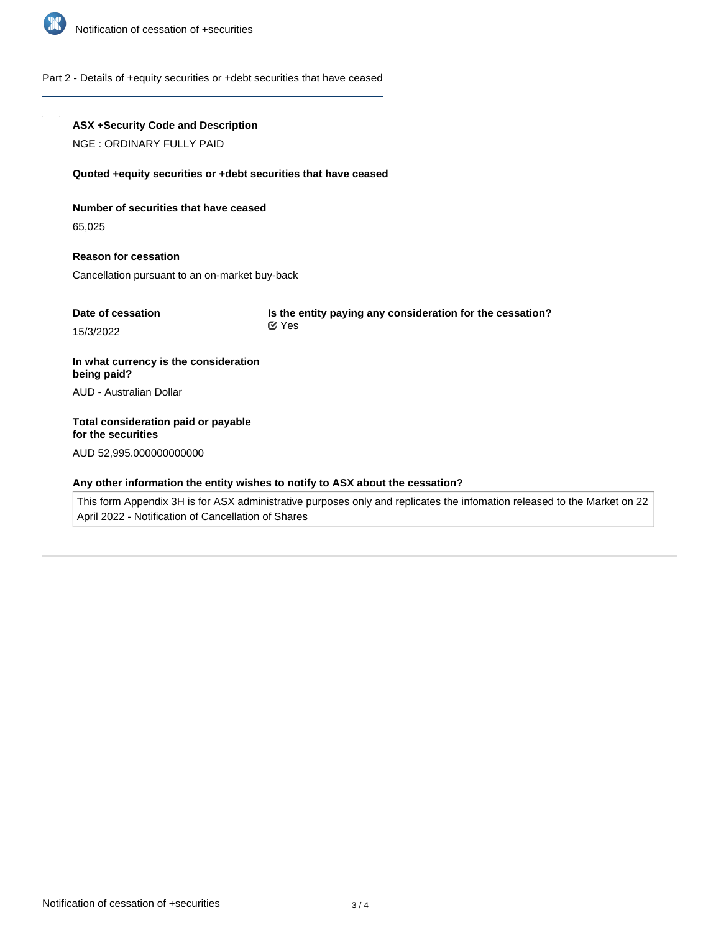

#### Part 2 - Details of +equity securities or +debt securities that have ceased

## **ASX +Security Code and Description**

NGE : ORDINARY FULLY PAID

#### **Quoted +equity securities or +debt securities that have ceased**

#### **Number of securities that have ceased**

65,025

**Reason for cessation** Cancellation pursuant to an on-market buy-back

| Date of cessation | Is the entity paying any consideration for the cessation? |  |
|-------------------|-----------------------------------------------------------|--|
| 15/3/2022         | ା Yes                                                     |  |

**In what currency is the consideration being paid?** AUD - Australian Dollar

# **Total consideration paid or payable for the securities** AUD 52,995.000000000000

#### **Any other information the entity wishes to notify to ASX about the cessation?**

This form Appendix 3H is for ASX administrative purposes only and replicates the infomation released to the Market on 22 April 2022 - Notification of Cancellation of Shares